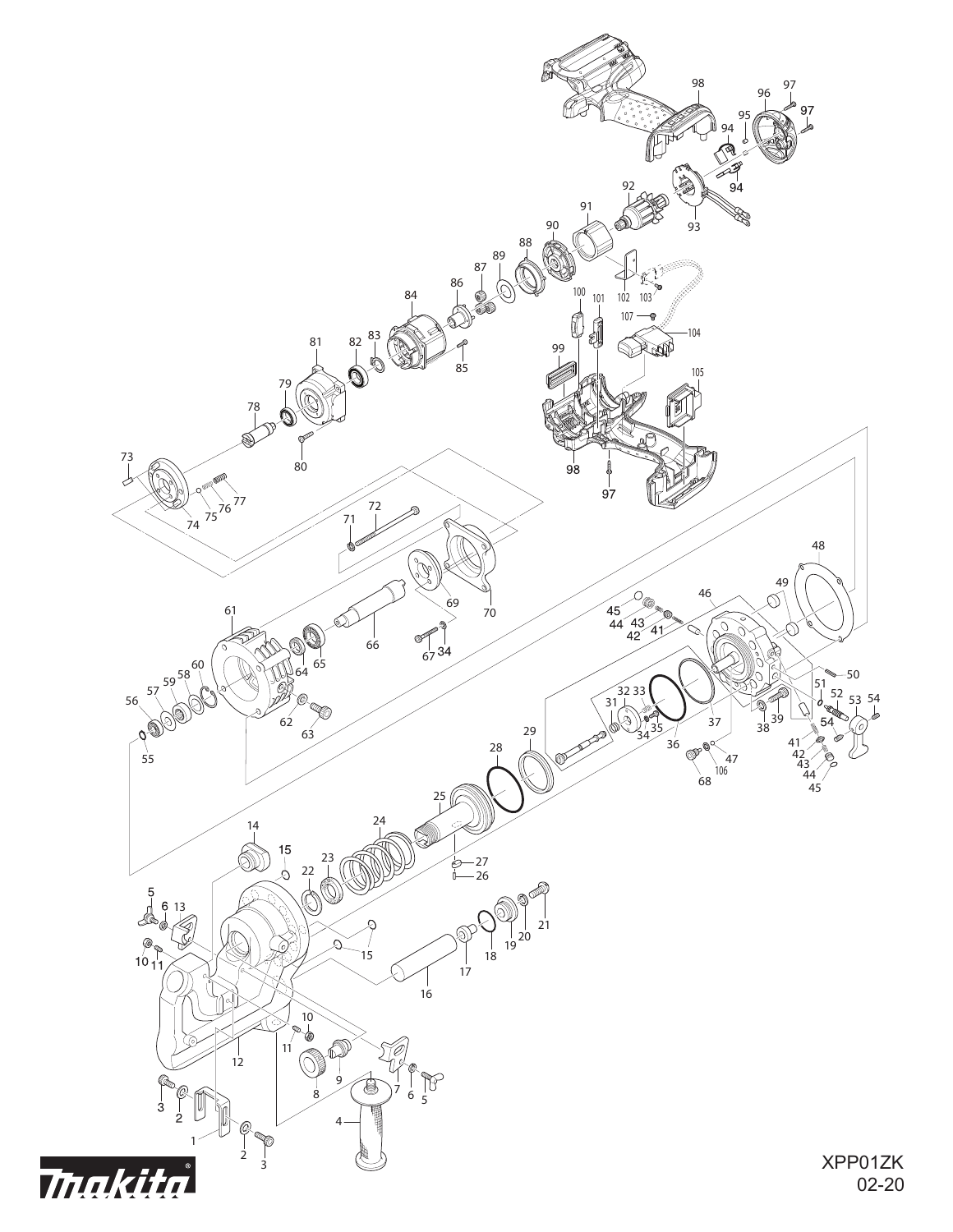

02-20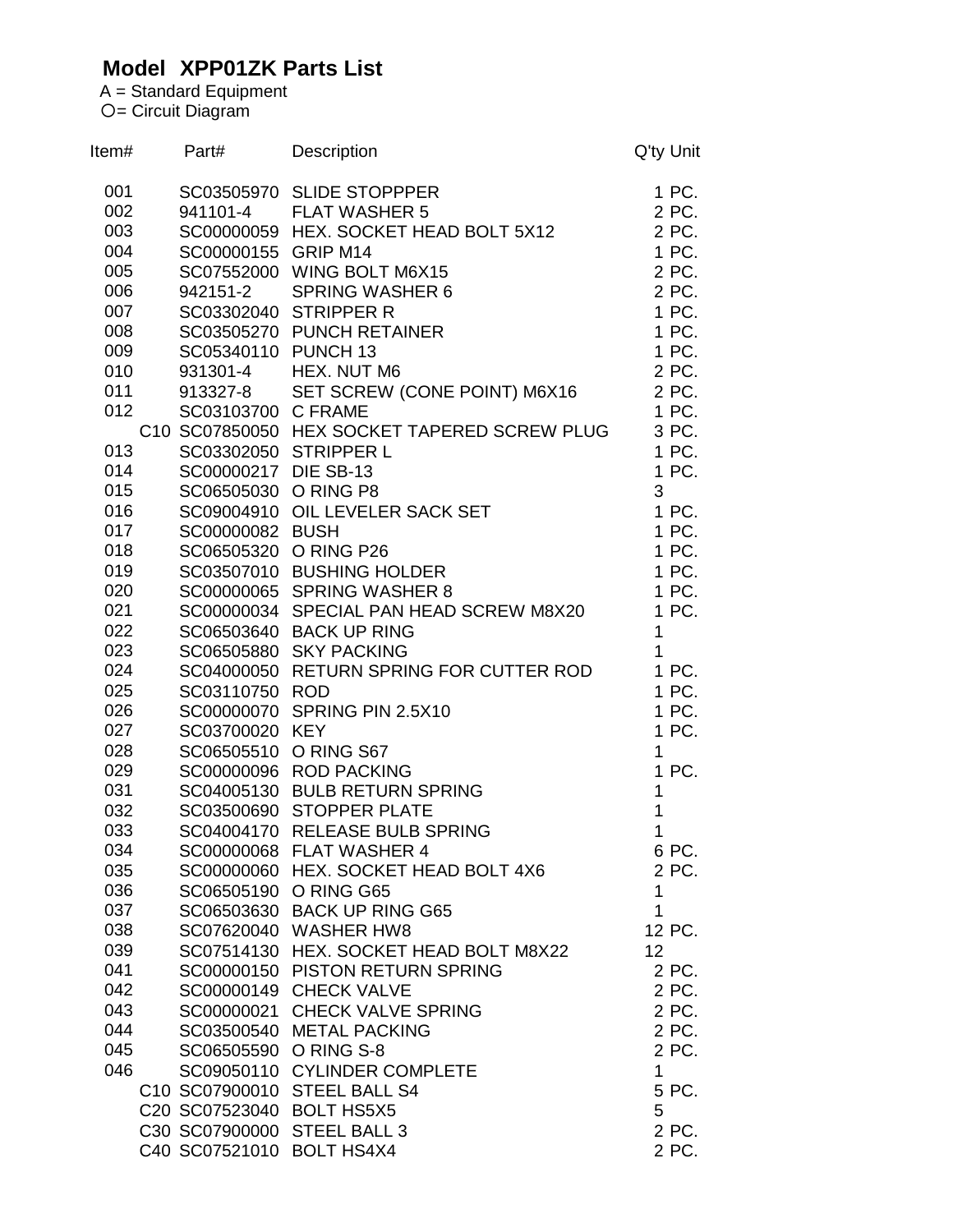## **Model XPP01ZK Parts List**

A = Standard Equipment = Circuit Diagram

| Item# | Part#                 | <b>Description</b>                           | Q'ty Unit    |
|-------|-----------------------|----------------------------------------------|--------------|
| 001   |                       | SC03505970 SLIDE STOPPPER                    | 1 PC.        |
| 002   | 941101-4              | <b>FLAT WASHER 5</b>                         | 2 PC.        |
| 003   |                       | SC00000059 HEX. SOCKET HEAD BOLT 5X12        | 2 PC.        |
| 004   | SC00000155 GRIP M14   |                                              | 1 PC.        |
| 005   |                       | SC07552000 WING BOLT M6X15                   | 2 PC.        |
| 006   | 942151-2              | <b>SPRING WASHER 6</b>                       | 2 PC.        |
| 007   |                       | SC03302040 STRIPPER R                        | 1 PC.        |
| 008   |                       | SC03505270 PUNCH RETAINER                    | 1 PC.        |
| 009   | SC05340110 PUNCH 13   |                                              | 1 PC.        |
| 010   | 931301-4              | HEX. NUT M6                                  | 2 PC.        |
| 011   | 913327-8              | SET SCREW (CONE POINT) M6X16                 | 2 PC.        |
| 012   | SC03103700 C FRAME    |                                              | 1 PC.        |
|       |                       | C10 SC07850050 HEX SOCKET TAPERED SCREW PLUG | 3 PC.        |
| 013   |                       | SC03302050 STRIPPER L                        | 1 PC.        |
| 014   | SC00000217 DIE SB-13  |                                              | 1 PC.        |
| 015   | SC06505030 O RING P8  |                                              | 3            |
| 016   |                       | SC09004910 OIL LEVELER SACK SET              | 1 PC.        |
| 017   | SC00000082 BUSH       |                                              | 1 PC.        |
| 018   | SC06505320 O RING P26 |                                              | 1 PC.        |
| 019   |                       | SC03507010 BUSHING HOLDER                    | 1 PC.        |
| 020   |                       | SC00000065 SPRING WASHER 8                   | 1 PC.        |
| 021   |                       | SC00000034 SPECIAL PAN HEAD SCREW M8X20      | 1 PC.        |
| 022   |                       | SC06503640 BACK UP RING                      | 1            |
| 023   |                       | SC06505880 SKY PACKING                       | 1            |
| 024   |                       | SC04000050 RETURN SPRING FOR CUTTER ROD      | 1 PC.        |
| 025   | SC03110750 ROD        |                                              | 1 PC.        |
| 026   |                       | SC00000070 SPRING PIN 2.5X10                 | 1 PC.        |
| 027   | SC03700020 KEY        |                                              | 1 PC.        |
| 028   | SC06505510 O RING S67 |                                              | 1            |
| 029   |                       | SC00000096 ROD PACKING                       | 1 PC.        |
| 031   |                       | SC04005130 BULB RETURN SPRING                | 1            |
| 032   |                       | SC03500690 STOPPER PLATE                     | 1            |
| 033   |                       | SC04004170 RELEASE BULB SPRING               | 1            |
| 034   |                       | SC00000068 FLAT WASHER 4                     | 6 PC.        |
| 035   |                       | SC00000060 HEX. SOCKET HEAD BOLT 4X6         | 2 PC.        |
| 036   | SC06505190 O RING G65 |                                              | $\mathbf{1}$ |
| 037   |                       | SC06503630 BACK UP RING G65                  | 1            |
| 038   |                       | SC07620040 WASHER HW8                        | 12 PC.       |
| 039   |                       | SC07514130 HEX. SOCKET HEAD BOLT M8X22       | 12           |
| 041   |                       | SC00000150 PISTON RETURN SPRING              | 2 PC.        |
| 042   |                       | SC00000149 CHECK VALVE                       | 2 PC.        |
| 043   |                       | SC00000021 CHECK VALVE SPRING                | 2 PC.        |
| 044   |                       |                                              | 2 PC.        |
|       |                       | SC03500540 METAL PACKING                     |              |
| 045   | SC06505590            | O RING S-8                                   | 2 PC.        |
| 046   |                       | SC09050110 CYLINDER COMPLETE                 | $\mathbf 1$  |
|       |                       | C10 SC07900010 STEEL BALL S4                 | 5 PC.        |
|       |                       | C20 SC07523040 BOLT HS5X5                    | 5            |
|       |                       | C30 SC07900000 STEEL BALL 3                  | 2 PC.        |
|       |                       | C40 SC07521010 BOLT HS4X4                    | 2 PC.        |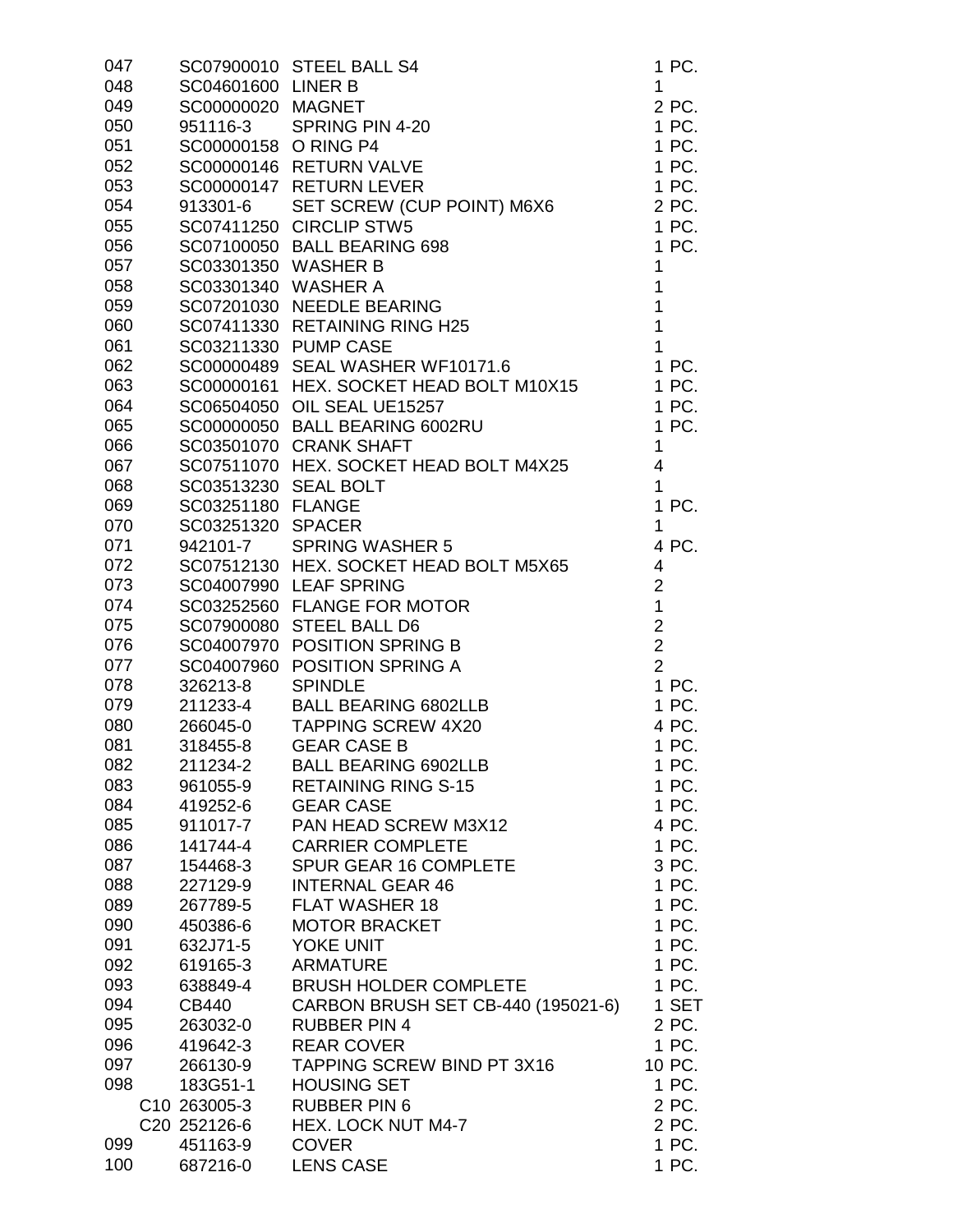| 047 |                      | SC07900010 STEEL BALL S4                | 1 PC.          |
|-----|----------------------|-----------------------------------------|----------------|
| 048 | SC04601600 LINER B   |                                         | 1              |
| 049 | SC00000020 MAGNET    |                                         | 2 PC.          |
| 050 | 951116-3             | SPRING PIN 4-20                         | 1 PC.          |
| 051 | SC00000158 O RING P4 |                                         | 1 PC.          |
| 052 |                      | SC00000146 RETURN VALVE                 | 1 PC.          |
| 053 |                      | SC00000147 RETURN LEVER                 | 1 PC.          |
| 054 | 913301-6             | SET SCREW (CUP POINT) M6X6              | 2 PC.          |
| 055 |                      | SC07411250 CIRCLIP STW5                 | 1 PC.          |
| 056 |                      | SC07100050 BALL BEARING 698             | 1 PC.          |
| 057 | SC03301350 WASHER B  |                                         | 1              |
| 058 | SC03301340 WASHER A  |                                         | $\mathbf 1$    |
| 059 |                      | SC07201030 NEEDLE BEARING               | 1              |
| 060 |                      | SC07411330 RETAINING RING H25           | $\mathbf 1$    |
| 061 |                      | SC03211330 PUMP CASE                    | $\overline{1}$ |
| 062 |                      | SC00000489 SEAL WASHER WF10171.6        | 1 PC.          |
| 063 |                      | SC00000161 HEX. SOCKET HEAD BOLT M10X15 | 1 PC.          |
| 064 |                      | SC06504050 OIL SEAL UE15257             | 1 PC.          |
| 065 |                      | SC00000050 BALL BEARING 6002RU          | 1 PC.          |
| 066 |                      | SC03501070 CRANK SHAFT                  | 1              |
| 067 |                      | SC07511070 HEX. SOCKET HEAD BOLT M4X25  | $\overline{4}$ |
| 068 | SC03513230 SEAL BOLT |                                         | $\mathbf{1}$   |
| 069 | SC03251180 FLANGE    |                                         | 1 PC.          |
| 070 | SC03251320 SPACER    |                                         | 1              |
| 071 | 942101-7             | <b>SPRING WASHER 5</b>                  | 4 PC.          |
| 072 |                      | SC07512130 HEX. SOCKET HEAD BOLT M5X65  | $\overline{4}$ |
| 073 |                      | SC04007990 LEAF SPRING                  | $\overline{2}$ |
| 074 |                      | SC03252560 FLANGE FOR MOTOR             | $\overline{1}$ |
| 075 |                      | SC07900080 STEEL BALL D6                | $\overline{2}$ |
| 076 |                      | SC04007970 POSITION SPRING B            | $\overline{2}$ |
| 077 | SC04007960           | POSITION SPRING A                       | $\overline{2}$ |
| 078 | 326213-8             | <b>SPINDLE</b>                          | 1 PC.          |
| 079 | 211233-4             | <b>BALL BEARING 6802LLB</b>             | 1 PC.          |
| 080 | 266045-0             | <b>TAPPING SCREW 4X20</b>               | 4 PC.          |
| 081 | 318455-8             | <b>GEAR CASE B</b>                      | 1 PC.          |
| 082 | 211234-2             | <b>BALL BEARING 6902LLB</b>             | 1 PC.          |
| 083 | 961055-9             | <b>RETAINING RING S-15</b>              | 1 PC.          |
| 084 | 419252-6             | <b>GEAR CASE</b>                        | 1 PC.          |
| 085 | 911017-7             | PAN HEAD SCREW M3X12                    | 4 PC.          |
| 086 | 141744-4             | <b>CARRIER COMPLETE</b>                 | 1 PC.          |
| 087 | 154468-3             | SPUR GEAR 16 COMPLETE                   | 3 PC.          |
| 088 | 227129-9             | <b>INTERNAL GEAR 46</b>                 | 1 PC.          |
| 089 | 267789-5             | <b>FLAT WASHER 18</b>                   | 1 PC.          |
| 090 | 450386-6             | <b>MOTOR BRACKET</b>                    | 1 PC.          |
| 091 | 632J71-5             | YOKE UNIT                               | 1 PC.          |
| 092 | 619165-3             | <b>ARMATURE</b>                         | 1 PC.          |
| 093 | 638849-4             | <b>BRUSH HOLDER COMPLETE</b>            | 1 PC.          |
| 094 | CB440                | CARBON BRUSH SET CB-440 (195021-6)      | 1 SET          |
| 095 | 263032-0             | <b>RUBBER PIN 4</b>                     | 2 PC.          |
| 096 | 419642-3             | <b>REAR COVER</b>                       | 1 PC.          |
| 097 | 266130-9             | TAPPING SCREW BIND PT 3X16              | 10 PC.         |
| 098 | 183G51-1             | <b>HOUSING SET</b>                      | 1 PC.          |
|     | C10 263005-3         | <b>RUBBER PIN 6</b>                     | 2 PC.          |
|     | C20 252126-6         | <b>HEX. LOCK NUT M4-7</b>               | 2 PC.          |
| 099 | 451163-9             | <b>COVER</b>                            | 1 PC.          |
| 100 | 687216-0             | <b>LENS CASE</b>                        | 1 PC.          |